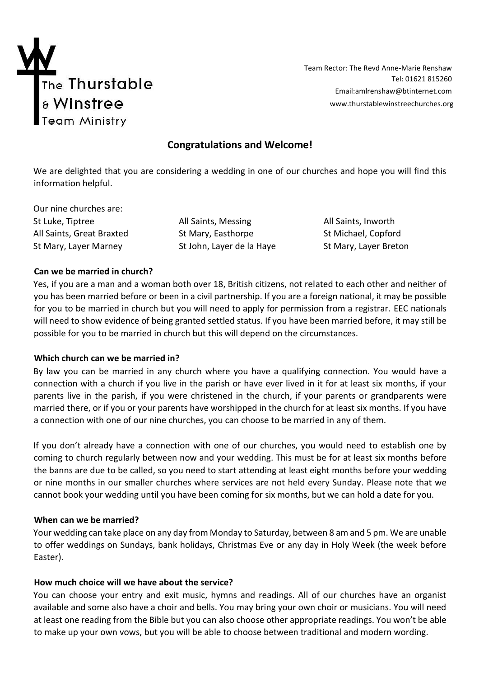

Team Rector: The Revd Anne-Marie Renshaw Tel: 01621 815260 Email:amlrenshaw@btinternet.com www.thurstablewinstreechurches.org

# **Congratulations and Welcome!**

We are delighted that you are considering a wedding in one of our churches and hope you will find this information helpful.

Our nine churches are:

St Luke, Tiptree **All Saints, Messing All Saints, All Saints**, Inworth All Saints, Great Braxted St Mary, Easthorpe St Michael, Copford St Mary, Layer Marney St John, Layer de la Haye St Mary, Layer Breton

# **Can we be married in church?**

Yes, if you are a man and a woman both over 18, British citizens, not related to each other and neither of you has been married before or been in a civil partnership. If you are a foreign national, it may be possible for you to be married in church but you will need to apply for permission from a registrar. EEC nationals will need to show evidence of being granted settled status. If you have been married before, it may still be possible for you to be married in church but this will depend on the circumstances.

#### **Which church can we be married in?**

By law you can be married in any church where you have a qualifying connection. You would have a connection with a church if you live in the parish or have ever lived in it for at least six months, if your parents live in the parish, if you were christened in the church, if your parents or grandparents were married there, or if you or your parents have worshipped in the church for at least six months. If you have a connection with one of our nine churches, you can choose to be married in any of them.

If you don't already have a connection with one of our churches, you would need to establish one by coming to church regularly between now and your wedding. This must be for at least six months before the banns are due to be called, so you need to start attending at least eight months before your wedding or nine months in our smaller churches where services are not held every Sunday. Please note that we cannot book your wedding until you have been coming for six months, but we can hold a date for you.

#### **When can we be married?**

Your wedding can take place on any day from Monday to Saturday, between 8 am and 5 pm. We are unable to offer weddings on Sundays, bank holidays, Christmas Eve or any day in Holy Week (the week before Easter).

#### **How much choice will we have about the service?**

You can choose your entry and exit music, hymns and readings. All of our churches have an organist available and some also have a choir and bells. You may bring your own choir or musicians. You will need at least one reading from the Bible but you can also choose other appropriate readings. You won't be able to make up your own vows, but you will be able to choose between traditional and modern wording.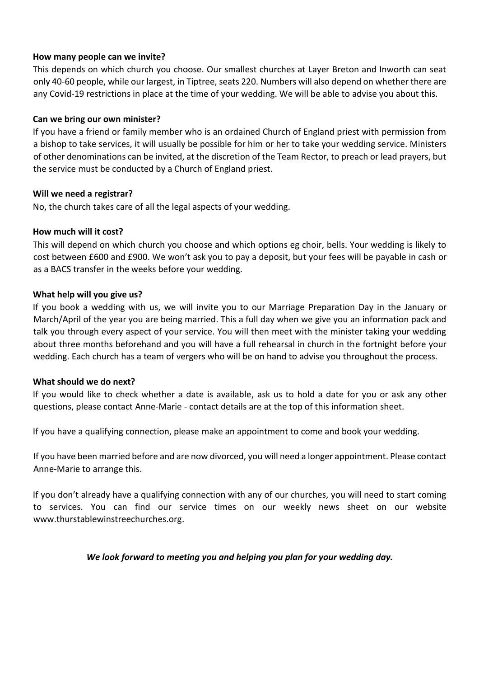# **How many people can we invite?**

This depends on which church you choose. Our smallest churches at Layer Breton and Inworth can seat only 40-60 people, while our largest, in Tiptree, seats 220. Numbers will also depend on whether there are any Covid-19 restrictions in place at the time of your wedding. We will be able to advise you about this.

# **Can we bring our own minister?**

If you have a friend or family member who is an ordained Church of England priest with permission from a bishop to take services, it will usually be possible for him or her to take your wedding service. Ministers of other denominations can be invited, at the discretion of the Team Rector, to preach or lead prayers, but the service must be conducted by a Church of England priest.

# **Will we need a registrar?**

No, the church takes care of all the legal aspects of your wedding.

# **How much will it cost?**

This will depend on which church you choose and which options eg choir, bells. Your wedding is likely to cost between £600 and £900. We won't ask you to pay a deposit, but your fees will be payable in cash or as a BACS transfer in the weeks before your wedding.

# **What help will you give us?**

If you book a wedding with us, we will invite you to our Marriage Preparation Day in the January or March/April of the year you are being married. This a full day when we give you an information pack and talk you through every aspect of your service. You will then meet with the minister taking your wedding about three months beforehand and you will have a full rehearsal in church in the fortnight before your wedding. Each church has a team of vergers who will be on hand to advise you throughout the process.

#### **What should we do next?**

If you would like to check whether a date is available, ask us to hold a date for you or ask any other questions, please contact Anne-Marie - contact details are at the top of this information sheet.

If you have a qualifying connection, please make an appointment to come and book your wedding.

If you have been married before and are now divorced, you will need a longer appointment. Please contact Anne-Marie to arrange this.

If you don't already have a qualifying connection with any of our churches, you will need to start coming to services. You can find our service times on our weekly news sheet on our website www.thurstablewinstreechurches.org.

# *We look forward to meeting you and helping you plan for your wedding day.*